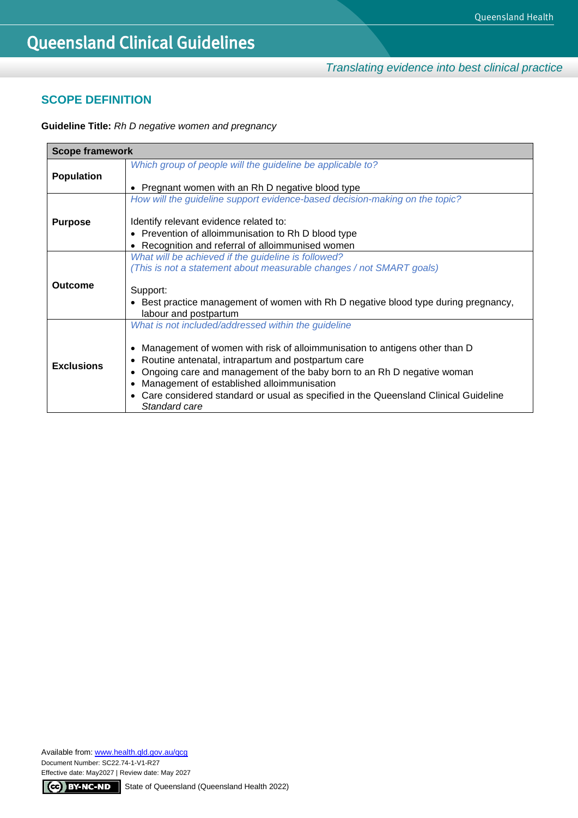*Translating evidence into best clinical practice*

## **SCOPE DEFINITION**

**Guideline Title:** *Rh D negative women and pregnancy*

| <b>Scope framework</b> |                                                                                                                                                                                                                                                                                                                                                                                                                                                             |  |  |
|------------------------|-------------------------------------------------------------------------------------------------------------------------------------------------------------------------------------------------------------------------------------------------------------------------------------------------------------------------------------------------------------------------------------------------------------------------------------------------------------|--|--|
| <b>Population</b>      | Which group of people will the guideline be applicable to?                                                                                                                                                                                                                                                                                                                                                                                                  |  |  |
|                        | Pregnant women with an Rh D negative blood type<br>٠                                                                                                                                                                                                                                                                                                                                                                                                        |  |  |
|                        | How will the guideline support evidence-based decision-making on the topic?                                                                                                                                                                                                                                                                                                                                                                                 |  |  |
| <b>Purpose</b>         | Identify relevant evidence related to:                                                                                                                                                                                                                                                                                                                                                                                                                      |  |  |
|                        | • Prevention of alloimmunisation to Rh D blood type                                                                                                                                                                                                                                                                                                                                                                                                         |  |  |
|                        | Recognition and referral of alloimmunised women<br>$\bullet$                                                                                                                                                                                                                                                                                                                                                                                                |  |  |
|                        | What will be achieved if the guideline is followed?                                                                                                                                                                                                                                                                                                                                                                                                         |  |  |
|                        | (This is not a statement about measurable changes / not SMART goals)                                                                                                                                                                                                                                                                                                                                                                                        |  |  |
| Outcome                | Support:<br>• Best practice management of women with Rh D negative blood type during pregnancy,<br>labour and postpartum                                                                                                                                                                                                                                                                                                                                    |  |  |
|                        |                                                                                                                                                                                                                                                                                                                                                                                                                                                             |  |  |
| <b>Exclusions</b>      | What is not included/addressed within the guideline<br>Management of women with risk of alloimmunisation to antigens other than D<br>$\bullet$<br>Routine antenatal, intrapartum and postpartum care<br>٠<br>Ongoing care and management of the baby born to an Rh D negative woman<br>٠<br>Management of established alloimmunisation<br>Care considered standard or usual as specified in the Queensland Clinical Guideline<br>$\bullet$<br>Standard care |  |  |

Available from[: www.health.qld.gov.au/qcg](http://www.health.qld.gov.au/qcg) Document Number: SC22.74-1-V1-R27 Effective date: May2027 | Review date: May 2027